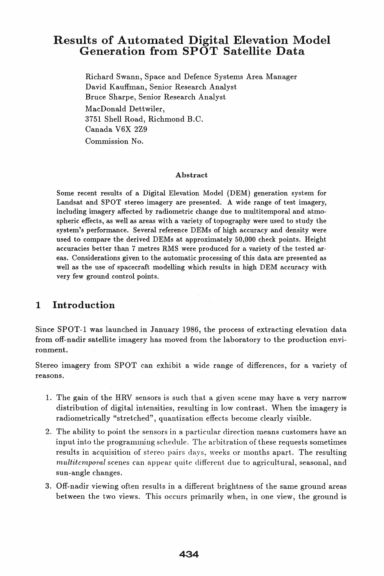# Results of Automated Digital Elevation Model Generation from SPOT Satellite Data

Richard Swann, Space and Defence Systems Area Manager David Kauffman, Senior Research Analyst Bruce Sharpe, Senior Research Analyst MacDonald Dettwiler, 3751 Shell Road, Richmond B.C. Canada V6X 2Z9

Commission No.

#### Abstract

Some recent results of a Digital Elevation Model (DEM) generation system for Landsat and SPOT stereo imagery are presented. A wide range of test imagery, including imagery affected by radiometric change due to multitemporal and atmospheric effects, as well as areas with a variety of topography were used to study the system's performance. Several reference DEMs of high accuracy and density were used to compare the derived DEMs at approximately 50,000 check points. Height accuracies better than 7 metres RMS were produced for a variety of the tested areas. Considerations given to the automatic processing of this data are presented as well as the use of spacecraft modelling which results in high DEM accuracy with very few ground control points.

### 1 Introduction

Since SPOT-1 was launched in January 1986, the process of extracting elevation data from off-nadir satellite imagery has moved from the laboratory to the production environment.

Stereo imagery from SPOT can exhibit a wide range of differences, for a variety of reasons.

- 1. The gain of the HRV sensors is such that a given scene may have a very narrow distribution of digital intensities, resulting in low contrast. When the imagery is radiometrically "stretched", quantization effects become clearly visible.
- 2. The ability to point the sensors in a particular direction means customers have an input into the progranuuing schedule. The arbitration of these requests sometimes results in acquisition of stereo pairs days, weeks or months apart. The resulting *multitemporal* scenes can appear quite different due to agricultural, seasonal, and sun-angle changes.
- 3. Off-nadir viewing often results in a different brightness of the same ground areas between the two views. This occurs primarily when, in one view, the ground is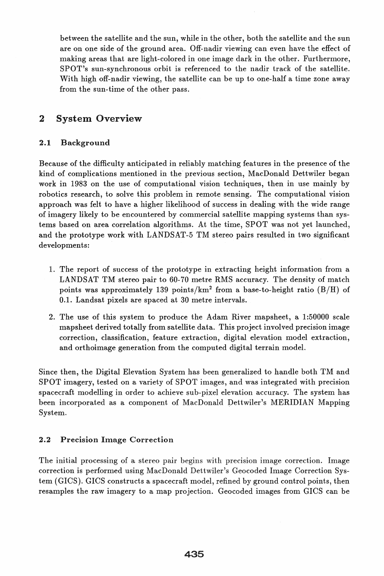between the satellite and the sun, while in the other, both the satellite and the sun are on one side of the ground area. Off-nadir viewing can even have the effect of making areas that are light-colored in one image dark in the other. Furthermore, SPOT's sun-synchronous orbit is referenced to the nadir track of the satellite. With high off-nadir viewing, the satellite can be up to one-half a time zone away from the sun-time of the other pass.

### 2 System Overview

#### 2.1 Background

Because of the difficulty anticipated in reliably matching features in the presence of the kind of complications mentioned in the' previous section, MacDonald Dettwiler began work in 1983 on the use of computational vision techniques, then in use mainly by robotics research, to solve this problem in remote sensing. The computational vision approach was felt to have a higher likelihood of success in dealing with the wide range of imagery likely to be encountered by commercial satellite mapping systems than systems based on area correlation algorithms. At the time, SPOT was not yet launched, and the prototype work with LANDSAT -5 TM stereo pairs resulted in two significant developments:

- 1. The report of success of the prototype in extracting height information from a LANDSAT TM stereo pair to 60-70 metre RMS accuracy. The density of match points was approximately 139 points/ $km^2$  from a base-to-height ratio (B/H) of 0.1. Landsat pixels are spaced at 30 metre intervals.
- 2. The use of this system to produce the Adam River mapsheet, a  $1:50000$  scale mapsheet derived totally from satellite data. This project involved precision image correction, classification, feature extraction, digital elevation model extraction, and orthoimage generation from the computed digital terrain model.

Since then, the Digital Elevation System has been generalized to handle both TM and SPOT imagery, tested on a variety of SPOT images, and was integrated with precision spacecraft modelling in order to achieve sub-pixel elevation accuracy. The system has been incorporated as a component of MacDonald Dettwiler's MERIDIAN Mapping System.

### 2.2 Precision Image Correction

The initial processing of a stereo pair begins with precision image correction. Image correction is performed using MacDonald Dettwiler's Geocoded Image Correction System (GIOS). GIOS constructs a spacecraft model, refined by ground control points, then resamples the raw imagery to a map projection. Geocoded images from GIOS can be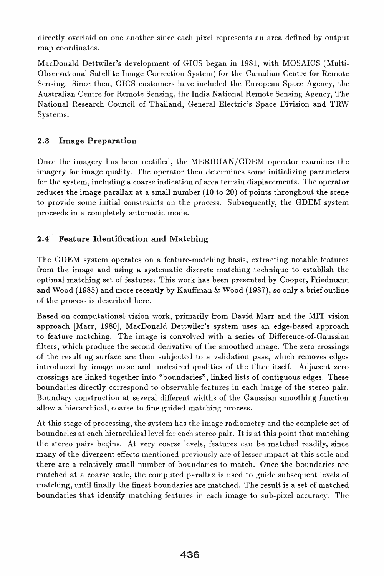directly overlaid on one another since each pixel represents an area defined by output map coordinates.

MacDonald Dettwiler's development of GICS began in 1981, with MOSAICS (Multi-Observational Satellite Image Correction System) for the Canadian Centre for Remote Sensing. Since then, GICS customers have included the European Space Agency, the Australian Centre for Remote Sensing, the India National Remote Sensing Agency, The National Research Council of Thailand, General Electric's Space Division and TRW Systems.

#### 2.3 Image Preparation

Once the imagery has been rectified, the MERIDIAN /GDEM operator examines the imagery for image quality. The operator then determines some initializing parameters for the system, including a coarse indication of area terrain displacements. The operator reduces the image parallax at a small number (10 to 20) of points throughout the scene to provide some initial constraints on the process. Subsequently, the GDEM system proceeds in a completely automatic mode.

#### 2.4 Feature Identification and Matching

The GDEM system operates on a feature-matching basis, extracting notable features from the image and using a systematic discrete matching technique to establish the optimal matching set of features. This work has been presented by Cooper, Friedmann and Wood (1985) and more recently by Kauffman  $\&$  Wood (1987), so only a brief outline of the process is described here.

Based on computational vision work, primarily from David Marr and the MIT vision approach [Marr, 1980], MacDonald Dettwiler's system uses an edge-based approach to feature matching. The image is convolved with a series of Difference-of-Gaussian filters, which produce the second derivative of the smoothed image. The zero crossings of the resulting surface are then subjected to a validation pass, which removes edges introduced by image noise and undesired qualities of the filter itself. Adjacent zero crossings are linked together into "boundaries", linked lists of contiguous edges. These boundaries directly correspond to observable features in each image of the stereo pair. Boundary construction at several different widths of the Gaussian smoothing function allow a hierarchical, coarse-to-fine guided matching process.

At this stage of processing, the system has the image radiometry and the complete set of boundaries at each hierarchical level for each stereo pair. It is at this point that matching the stereo pairs begins. At very coarse levels, features can be matched readily, since many of the divergent effects mentioned previously are of lesser impact at this scale and there are a relatively small number of boundaries to match. Once the boundaries are matched at a coarse scale, the computed parallax is used to guide subsequent levels of matching, until finally the finest boundaries are matched. The result is a set of matched boundaries that identify matching features in each image to sub-pixel accuracy. The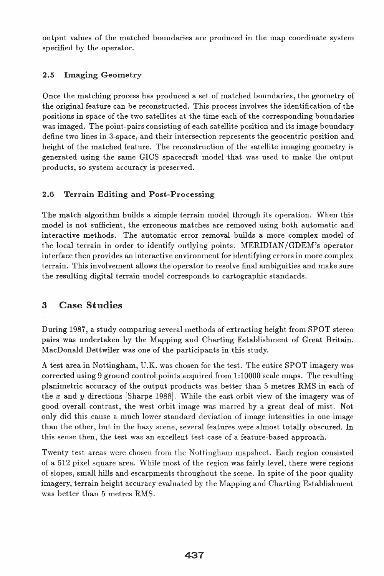output values of the matched boundaries are produced in the map coordinate system specified by the operator.

#### 2.5 Imaging Geometry

Once the matching process has produced a set of matched boundaries, the geometry of the original feature can be reconstructed. This process involves the identification of the positions in space of the two satellites at the time each of the corresponding boundaries was imaged. The point-pairs consisting of each satellite position and its image boundary define two lines in 3-space, and their intersection represents the geocentric position and height of the matched feature. The reconstruction of the satellite imaging geometry is generated using the same GICS spacecraft model that was used to make the output products, so system accuracy is preserved.

#### 2.6 Terrain Editing and Post-Processing

The match algorithm builds a simple terrain model through its operation. When this model is not sufficient, the erroneous matches are removed using both automatic and interactive methods. The automatic error removal builds a more complex model of the local terrain in order to identify outlying points. MERIDIAN /GDEM's operator interface then provides an interactive environment for identifying errors in more complex terrain. This involvement allows the operator to resolve final ambiguities make sure the resulting digital terrain model corresponds to cartographic standards.

### 3 Case Studies

During 1987, a study comparing several methods of extracting height from SPOT stereo pairs was undertaken by the Mapping and Charting Establishment of Great Britain. MacDonald Dettwiler was one of the participants in this study.

A test area in Nottingham, U.K. was chosen for the test. The entire SPOT imagery was corrected using 9 ground control points acquired from 1:10000 scale maps. The resulting planimetric accuracy of the output products was better than 5 metres RMS in each of the *x* and *y* directions [Sharpe 1988]. While the east orbit view of the imagery was of good overall contrast, the west orbit image was marred by a great deal of mist. Not only did this cause a much lower standard deviation of image intensities in one image than the other, but in the hazy scene, several features were almost totally obscured. In this sense then, the test was an excellent test case of a feature-based approach.

Twenty test areas were chosen from the Nottingham mapsheet. Each region consisted of a 512 pixel square area. While most of the region was fairly level, there were regions of slopes, small hills and escarpments throughout the scene. In spite of the poor quality imagery, terrain height accuracy evaluated by the Mapping and Charting Establishment was better than 5 metres RMS.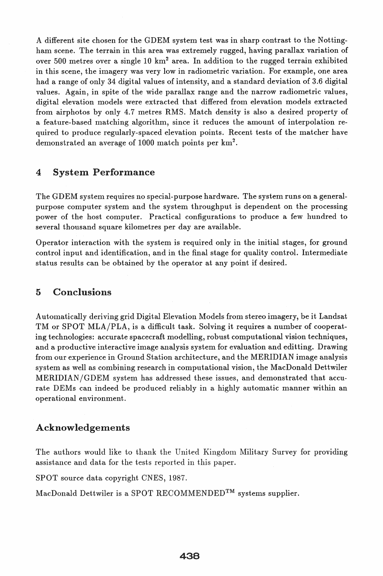A different site chosen for the GDEM system test was in sharp contrast to the Nottingham scene. The terrain in this area was extremely rugged, having parallax variation of over 500 metres over a single  $10 \text{ km}^2$  area. In addition to the rugged terrain exhibited in this scene, the imagery was very low in radiometric variation. For example, one area had a range of only 34 digital values of intensity, and a standard deviation of 3.6 digital values. Again, in spite of the wide parallax range and the narrow radiometric values, digital elevation models were extracted that differed from elevation models extracted from airphotos by only 4.7 metres RMS. Match density is also a desired property of a feature-based Inatching algorithm, since it reduces the amount of interpolation required to produce regularly-spaced elevation points. Recent tests of the matcher have demonstrated an average of 1000 match points per  $km^2$ .

### 4 System Performance

The GDEM system requires no special-purpose hardware. The system runs on a generalpurpose computer system and the system throughput is dependent on the processing power of the host computer. Practical configurations to produce a few hundred to several thousand square kilometres per day are available.

Operator interaction with the system is required only in the initial stages, for ground control input and identification, and in the final stage for quality control. Intermediate status results can be obtained by the operator at any point if desired.

### 5 Conclusions

Automatically deriving grid Digital Elevation Models from stereo imagery, be it Landsat TM or SPOT MLA/PLA, is a difficult task. Solving it requires a number of cooperating technologies: accurate spacecraft modelling, robust computational vision techniques, and a productive interactive image analysis system for evaluation and editting. Drawing from our experience in Ground Station architecture, and the MERIDIAN image analysis system as well as combining research in computational vision, the MacDonald Dettwiler MERIDIAN /GDEM system has addressed these issues, and demonstrated that accurate DEMs can indeed be produced reliably in a highly automatic manner within an operational environment.

### Acknowledgements

The authors would like to thank the United Kingdom Military Survey for providing assistance and data for the tests reported in this paper.

SPOT source data copyright CNES, 1987.

MacDonald Dettwiler is a SPOT RECOMMENDED™ systems supplier.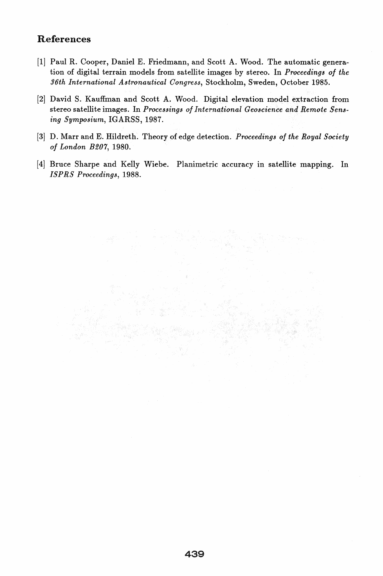## References

- [1] Paul R. Cooper, Daniel E. Friedmann, and Scott A. Wood. The automatic generation of digital terrain models from satellite images by stereo. In *Proceedings of the 96th International Astronautical Congress,* Stockholm, Sweden, October 1985.
- [2] David S. Kauffman and Scott A. Wood. Digital elevation model extraction from stereo satellite images. In *Processings of International Geoscience and Remote Sensing Symposium,* IGARSS, 1987.
- [3] D. Marr and E. Hildreth. Theory of edge detection. *Proceedings of the Royal Society of London B207, 1980.*
- [4] Bruce Sharpe and Kelly Wiebe. Planimetric accuracy in satellite mapping. In *ISP RS Proceedings, 1988.*